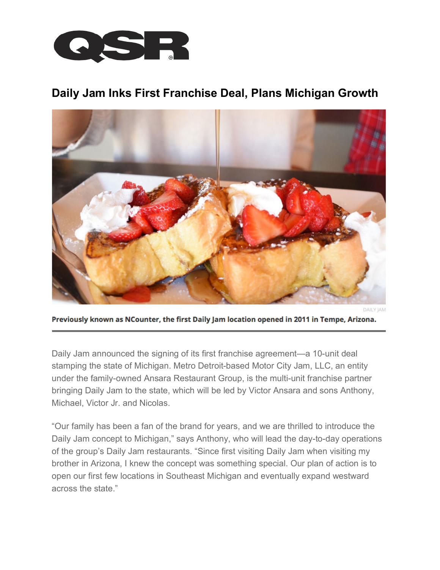

## **Daily Jam Inks First Franchise Deal, Plans Michigan Growth**



**DAILY JAM** 

Previously known as NCounter, the first Daily Jam location opened in 2011 in Tempe, Arizona.

Daily Jam announced the signing of its first franchise agreement—a 10-unit deal stamping the state of Michigan. Metro Detroit-based Motor City Jam, LLC, an entity under the family-owned Ansara Restaurant Group, is the multi-unit franchise partner bringing Daily Jam to the state, which will be led by Victor Ansara and sons Anthony, Michael, Victor Jr. and Nicolas.

"Our family has been a fan of the brand for years, and we are thrilled to introduce the Daily Jam concept to Michigan," says Anthony, who will lead the day-to-day operations of the group's Daily Jam restaurants. "Since first visiting Daily Jam when visiting my brother in Arizona, I knew the concept was something special. Our plan of action is to open our first few locations in Southeast Michigan and eventually expand westward across the state."